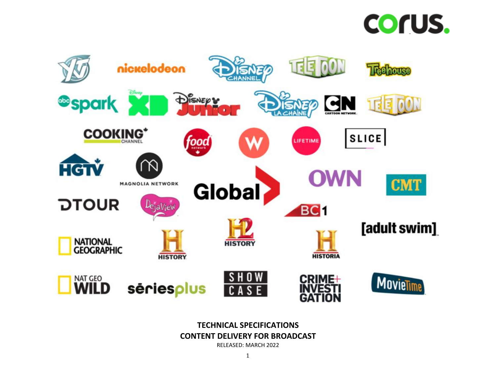



**TECHNICAL SPECIFICATIONS CONTENT DELIVERY FOR BROADCAST** RELEASED: MARCH 2022

1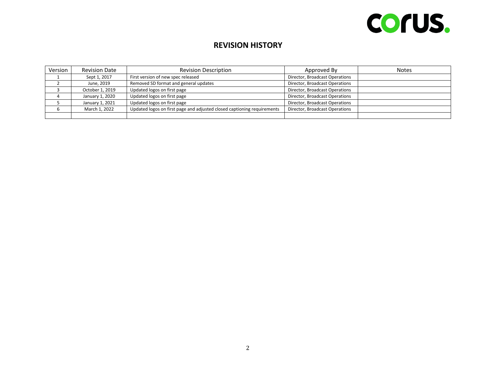# COrUS.

## **REVISION HISTORY**

| Version | <b>Revision Date</b> | <b>Revision Description</b>                                             | Approved By                    | <b>Notes</b> |
|---------|----------------------|-------------------------------------------------------------------------|--------------------------------|--------------|
|         | Sept 1, 2017         | First version of new spec released                                      | Director, Broadcast Operations |              |
|         | June, 2019           | Removed SD format and general updates                                   | Director, Broadcast Operations |              |
|         | October 1, 2019      | Updated logos on first page                                             | Director, Broadcast Operations |              |
|         | January 1, 2020      | Updated logos on first page                                             | Director, Broadcast Operations |              |
|         | January 1, 2021      | Updated logos on first page                                             | Director, Broadcast Operations |              |
|         | March 1, 2022        | Updated logos on first page and adjusted closed captioning requirements | Director, Broadcast Operations |              |
|         |                      |                                                                         |                                |              |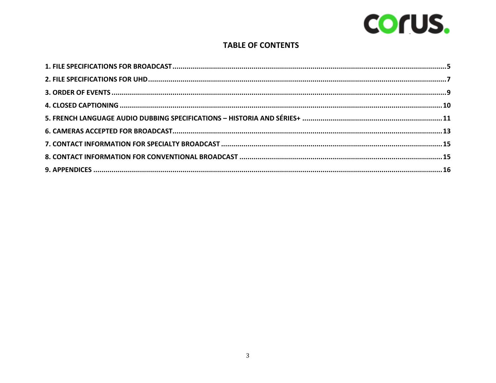

## **TABLE OF CONTENTS**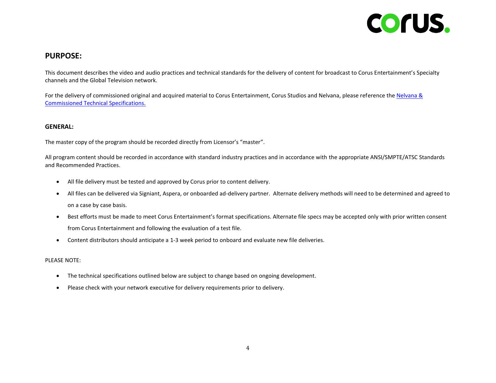

### **PURPOSE:**

This document describes the video and audio practices and technical standards for the delivery of content for broadcast to Corus Entertainment's Specialty channels and the Global Television network.

For the delivery of commissioned original and acquired material to Corus Entertainment. Corus Studios and Nelvana, please reference the Nelvana & [Commissioned Technical Specifications.](https://assets.corusent.com/wp-content/uploads/2022/06/NELVANA_COMMISSIONED_TECHNICAL_SPECIFICATIONS_AUG_2021-1.pdf)

#### **GENERAL:**

The master copy of the program should be recorded directly from Licensor's "master".

All program content should be recorded in accordance with standard industry practices and in accordance with the appropriate ANSI/SMPTE/ATSC Standards and Recommended Practices.

- All file delivery must be tested and approved by Corus prior to content delivery.
- All files can be delivered via Signiant, Aspera, or onboarded ad-delivery partner. Alternate delivery methods will need to be determined and agreed to on a case by case basis.
- Best efforts must be made to meet Corus Entertainment's format specifications. Alternate file specs may be accepted only with prior written consent from Corus Entertainment and following the evaluation of a test file.
- Content distributors should anticipate a 1-3 week period to onboard and evaluate new file deliveries.

#### PLEASE NOTE:

- The technical specifications outlined below are subject to change based on ongoing development.
- Please check with your network executive for delivery requirements prior to delivery.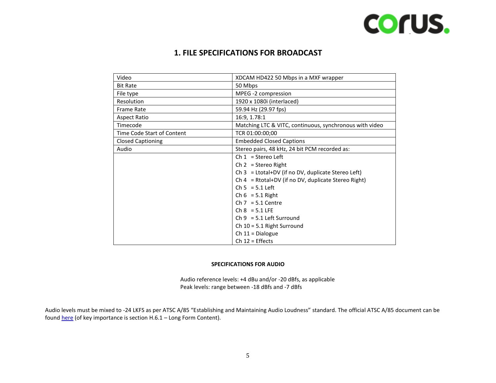

## **1. FILE SPECIFICATIONS FOR BROADCAST**

<span id="page-4-0"></span>

| Video                      | XDCAM HD422 50 Mbps in a MXF wrapper                    |
|----------------------------|---------------------------------------------------------|
| <b>Bit Rate</b>            | 50 Mbps                                                 |
| File type                  | MPEG -2 compression                                     |
| Resolution                 | 1920 x 1080i (interlaced)                               |
| <b>Frame Rate</b>          | 59.94 Hz (29.97 fps)                                    |
| <b>Aspect Ratio</b>        | 16:9, 1.78:1                                            |
| Timecode                   | Matching LTC & VITC, continuous, synchronous with video |
| Time Code Start of Content | TCR 01:00:00;00                                         |
| <b>Closed Captioning</b>   | <b>Embedded Closed Captions</b>                         |
| Audio                      | Stereo pairs, 48 kHz, 24 bit PCM recorded as:           |
|                            | $Ch 1 = Stereo Left$                                    |
|                            | Ch $2 =$ Stereo Right                                   |
|                            | Ch $3 =$ Ltotal+DV (if no DV, duplicate Stereo Left)    |
|                            | Ch 4 = Rtotal+DV (if no DV, duplicate Stereo Right)     |
|                            | $Ch 5 = 5.1$ Left                                       |
|                            | Ch $6 = 5.1$ Right                                      |
|                            | $Ch 7 = 5.1$ Centre                                     |
|                            | $Ch 8 = 5.1$ LFE                                        |
|                            | $Ch 9 = 5.1$ Left Surround                              |
|                            | Ch $10 = 5.1$ Right Surround                            |
|                            | Ch $11 =$ Dialogue                                      |
|                            | $Ch 12 = Effects$                                       |

#### **SPECIFICATIONS FOR AUDIO**

Audio reference levels: +4 dBu and/or -20 dBfs, as applicable Peak levels: range between -18 dBfs and -7 dBfs

Audio levels must be mixed to -24 LKFS as per ATSC A/85 "Establishing and Maintaining Audio Loudness" standard. The official ATSC A/85 document can be foun[d here](https://assets.corusent.com/wp-content/uploads/2021/10/ATSC_A_85-Establishing_Maintaining_Audio_Loudness.pdf) (of key importance is section H.6.1 - Long Form Content).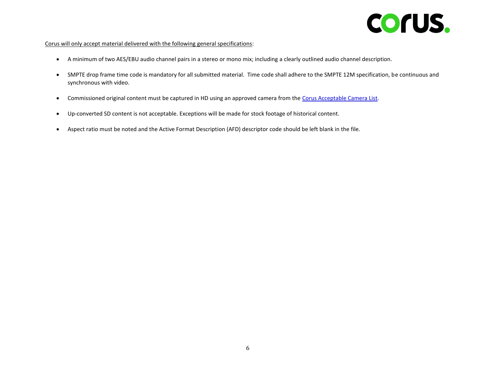

#### Corus will only accept material delivered with the following general specifications:

- A minimum of two AES/EBU audio channel pairs in a stereo or mono mix; including a clearly outlined audio channel description.
- SMPTE drop frame time code is mandatory for all submitted material. Time code shall adhere to the SMPTE 12M specification, be continuous and synchronous with video.
- Commissioned original content must be captured in HD using an approved camera from th[e Corus Acceptable Camera List.](https://assets.corusent.com/wp-content/uploads/2021/10/Corus-Acceptable-Camera-List-1.pdf)
- Up-converted SD content is not acceptable. Exceptions will be made for stock footage of historical content.
- Aspect ratio must be noted and the Active Format Description (AFD) descriptor code should be left blank in the file.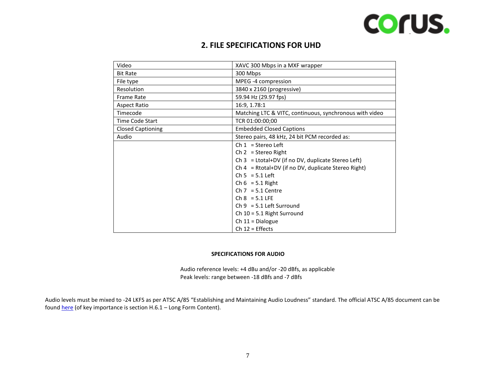

## **2. FILE SPECIFICATIONS FOR UHD**

<span id="page-6-0"></span>

| Video                    | XAVC 300 Mbps in a MXF wrapper                          |
|--------------------------|---------------------------------------------------------|
| <b>Bit Rate</b>          | 300 Mbps                                                |
| File type                | MPEG -4 compression                                     |
| <b>Resolution</b>        | 3840 x 2160 (progressive)                               |
| <b>Frame Rate</b>        | 59.94 Hz (29.97 fps)                                    |
| <b>Aspect Ratio</b>      | 16:9, 1.78:1                                            |
| Timecode                 | Matching LTC & VITC, continuous, synchronous with video |
| Time Code Start          | TCR 01:00:00;00                                         |
| <b>Closed Captioning</b> | <b>Embedded Closed Captions</b>                         |
| Audio                    | Stereo pairs, 48 kHz, 24 bit PCM recorded as:           |
|                          | Ch $1 =$ Stereo Left                                    |
|                          | Ch $2 =$ Stereo Right                                   |
|                          | Ch $3 =$ Ltotal+DV (if no DV, duplicate Stereo Left)    |
|                          | Ch 4 = Rtotal+DV (if no DV, duplicate Stereo Right)     |
|                          | $Ch 5 = 5.1$ Left                                       |
|                          | Ch $6 = 5.1$ Right                                      |
|                          | $Ch 7 = 5.1$ Centre                                     |
|                          | $Ch 8 = 5.1$ LFE                                        |
|                          | $Ch 9 = 5.1$ Left Surround                              |
|                          | Ch $10 = 5.1$ Right Surround                            |
|                          | Ch $11 =$ Dialogue                                      |
|                          | $Ch 12 = Effects$                                       |

#### **SPECIFICATIONS FOR AUDIO**

Audio reference levels: +4 dBu and/or -20 dBfs, as applicable Peak levels: range between -18 dBfs and -7 dBfs

Audio levels must be mixed to -24 LKFS as per ATSC A/85 "Establishing and Maintaining Audio Loudness" standard. The official ATSC A/85 document can be foun[d here](https://assets.corusent.com/wp-content/uploads/2021/10/ATSC_A_85-Establishing_Maintaining_Audio_Loudness.pdf) (of key importance is section H.6.1 – Long Form Content).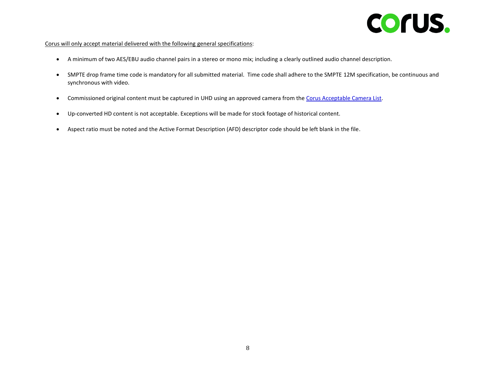

#### Corus will only accept material delivered with the following general specifications:

- A minimum of two AES/EBU audio channel pairs in a stereo or mono mix; including a clearly outlined audio channel description.
- SMPTE drop frame time code is mandatory for all submitted material. Time code shall adhere to the SMPTE 12M specification, be continuous and synchronous with video.
- Commissioned original content must be captured in UHD using an approved camera from the [Corus Acceptable Camera List.](https://assets.corusent.com/wp-content/uploads/2021/10/Corus-Acceptable-Camera-List-1.pdf)
- Up-converted HD content is not acceptable. Exceptions will be made for stock footage of historical content.
- Aspect ratio must be noted and the Active Format Description (AFD) descriptor code should be left blank in the file.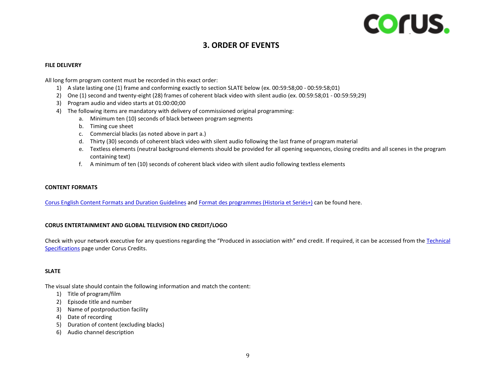

## **3. ORDER OF EVENTS**

#### <span id="page-8-0"></span>**FILE DELIVERY**

All long form program content must be recorded in this exact order:

- 1) A slate lasting one (1) frame and conforming exactly to section SLATE below (ex. 00:59:58;00 00:59:58;01)
- 2) One (1) second and twenty-eight (28) frames of coherent black video with silent audio (ex. 00:59:58;01 00:59:59;29)
- 3) Program audio and video starts at 01:00:00;00
- 4) The following items are mandatory with delivery of commissioned original programming:
	- a. Minimum ten (10) seconds of black between program segments
	- b. Timing cue sheet
	- c. Commercial blacks (as noted above in part a.)
	- d. Thirty (30) seconds of coherent black video with silent audio following the last frame of program material
	- e. Textless elements (neutral background elements should be provided for all opening sequences, closing credits and all scenes in the program containing text)
	- f. A minimum of ten (10) seconds of coherent black video with silent audio following textless elements

#### **CONTENT FORMATS**

[Corus English Content Formats](https://assets.corusent.com/wp-content/uploads/2021/10/Corus_English_Content_Formats_Duration_Guidelines2.pdf) and Duration Guidelines an[d Format des programmes \(Historia et Seriés+\)](https://assets.corusent.com/wp-content/uploads/2021/10/Corus_HS_Format_et_duree_des_programmes_en_production_originale1.pdf) can be found here.

#### **CORUS ENTERTAINMENT AND GLOBAL TELEVISION END CREDIT/LOGO**

Check with your network executive for any questions regarding the "Produced in association with" end credit. If required, it can be accessed from the [Technical](https://www.corusent.com/technical-specifications-content-delivery-broadcast/)  [Specifications](https://www.corusent.com/technical-specifications-content-delivery-broadcast/) page under Corus Credits.

#### **SLATE**

The visual slate should contain the following information and match the content:

- 1) Title of program/film
- 2) Episode title and number
- 3) Name of postproduction facility
- 4) Date of recording
- 5) Duration of content (excluding blacks)
- 6) Audio channel description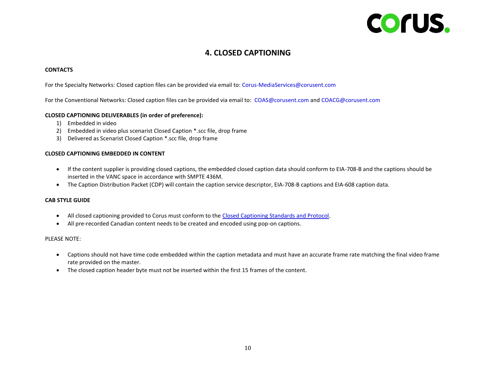# Corus.

## **4. CLOSED CAPTIONING**

#### <span id="page-9-0"></span>**CONTACTS**

For the Specialty Networks: Closed caption files can be provided via email to: [Corus-MediaServices@corusent.com](mailto:Corus-MediaServices@corusent.com)

For the Conventional Networks: Closed caption files can be provided via email to: [COAS@corusent.com](mailto:COAS@corusent.com) and [COACG@corusent.com](mailto:COACG@corusent.com)

#### **CLOSED CAPTIONING DELIVERABLES (in order of preference):**

- 1) Embedded in video
- 2) Embedded in video plus scenarist Closed Caption \*.scc file, drop frame
- 3) Delivered as Scenarist Closed Caption \*.scc file, drop frame

#### **CLOSED CAPTIONING EMBEDDED IN CONTENT**

- If the content supplier is providing closed captions, the embedded closed caption data should conform to EIA-708-B and the captions should be inserted in the VANC space in accordance with SMPTE 436M.
- The Caption Distribution Packet (CDP) will contain the caption service descriptor, EIA-708-B captions and EIA-608 caption data.

#### **CAB STYLE GUIDE**

- All closed captioning provided to Corus must conform to the [Closed Captioning Standards and Protocol.](https://assets.corusent.com/wp-content/uploads/2021/10/Closed_Captioning_Standards_Protocol.pdf)
- All pre-recorded Canadian content needs to be created and encoded using pop-on captions.

#### PLEASE NOTE:

- Captions should not have time code embedded within the caption metadata and must have an accurate frame rate matching the final video frame rate provided on the master.
- The closed caption header byte must not be inserted within the first 15 frames of the content.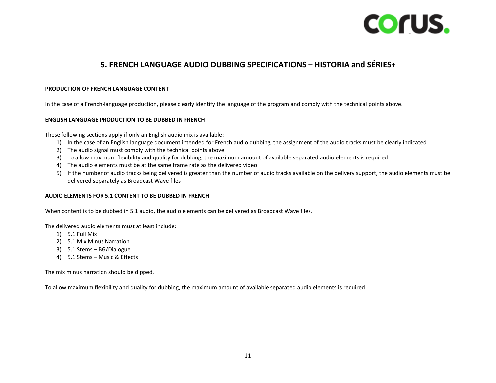

### **5. FRENCH LANGUAGE AUDIO DUBBING SPECIFICATIONS – HISTORIA and SÉRIES+**

#### <span id="page-10-0"></span>**PRODUCTION OF FRENCH LANGUAGE CONTENT**

In the case of a French-language production, please clearly identify the language of the program and comply with the technical points above.

#### **ENGLISH LANGUAGE PRODUCTION TO BE DUBBED IN FRENCH**

These following sections apply if only an English audio mix is available:

- 1) In the case of an English language document intended for French audio dubbing, the assignment of the audio tracks must be clearly indicated
- 2) The audio signal must comply with the technical points above
- 3) To allow maximum flexibility and quality for dubbing, the maximum amount of available separated audio elements is required
- 4) The audio elements must be at the same frame rate as the delivered video
- 5) If the number of audio tracks being delivered is greater than the number of audio tracks available on the delivery support, the audio elements must be delivered separately as Broadcast Wave files

#### **AUDIO ELEMENTS FOR 5.1 CONTENT TO BE DUBBED IN FRENCH**

When content is to be dubbed in 5.1 audio, the audio elements can be delivered as Broadcast Wave files.

The delivered audio elements must at least include:

- 1) 5.1 Full Mix
- 2) 5.1 Mix Minus Narration
- 3) 5.1 Stems BG/Dialogue
- 4) 5.1 Stems Music & Effects

The mix minus narration should be dipped.

To allow maximum flexibility and quality for dubbing, the maximum amount of available separated audio elements is required.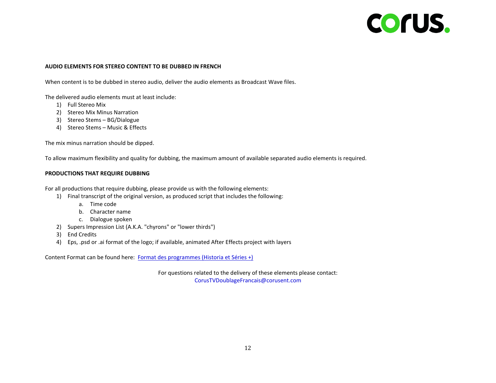# COrUS.

#### **AUDIO ELEMENTS FOR STEREO CONTENT TO BE DUBBED IN FRENCH**

When content is to be dubbed in stereo audio, deliver the audio elements as Broadcast Wave files.

The delivered audio elements must at least include:

- 1) Full Stereo Mix
- 2) Stereo Mix Minus Narration
- 3) Stereo Stems BG/Dialogue
- 4) Stereo Stems Music & Effects

The mix minus narration should be dipped.

To allow maximum flexibility and quality for dubbing, the maximum amount of available separated audio elements is required.

#### **PRODUCTIONS THAT REQUIRE DUBBING**

For all productions that require dubbing, please provide us with the following elements:

- 1) Final transcript of the original version, as produced script that includes the following:
	- a. Time code
	- b. Character name
	- c. Dialogue spoken
- 2) Supers Impression List (A.K.A. "chyrons" or "lower thirds")
- 3) End Credits
- 4) Eps, .psd or .ai format of the logo; if available, animated After Effects project with layers

Content Format can be found here: [Format des programmes \(Historia et Séries +\)](https://assets.corusent.com/wp-content/uploads/2021/10/Corus_HS_Format_et_duree_des_programmes_en_production_originale1.pdf)

For questions related to the delivery of these elements please contact: [CorusTVDoublageFrancais@corusent.com](mailto:CorusTVDoublageFrancais@corusent.com)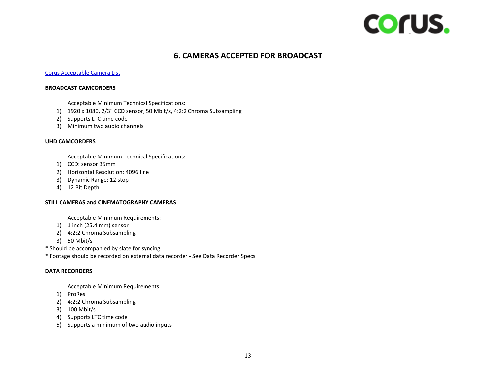

## **6. CAMERAS ACCEPTED FOR BROADCAST**

#### <span id="page-12-0"></span>[Corus Acceptable Camera List](https://assets.corusent.com/wp-content/uploads/2021/10/Corus-Acceptable-Camera-List-1.pdf)

#### **BROADCAST CAMCORDERS**

Acceptable Minimum Technical Specifications:

- 1) 1920 x 1080, 2/3" CCD sensor, 50 Mbit/s, 4:2:2 Chroma Subsampling
- 2) Supports LTC time code
- 3) Minimum two audio channels

#### **UHD CAMCORDERS**

Acceptable Minimum Technical Specifications:

- 1) CCD: sensor 35mm
- 2) Horizontal Resolution: 4096 line
- 3) Dynamic Range: 12 stop
- 4) 12 Bit Depth

#### **STILL CAMERAS and CINEMATOGRAPHY CAMERAS**

Acceptable Minimum Requirements:

- 1) 1 inch (25.4 mm) sensor
- 2) 4:2:2 Chroma Subsampling
- 3) 50 Mbit/s
- \* Should be accompanied by slate for syncing
- \* Footage should be recorded on external data recorder See Data Recorder Specs

#### **DATA RECORDERS**

Acceptable Minimum Requirements:

- 1) ProRes
- 2) 4:2:2 Chroma Subsampling
- 3) 100 Mbit/s
- 4) Supports LTC time code
- 5) Supports a minimum of two audio inputs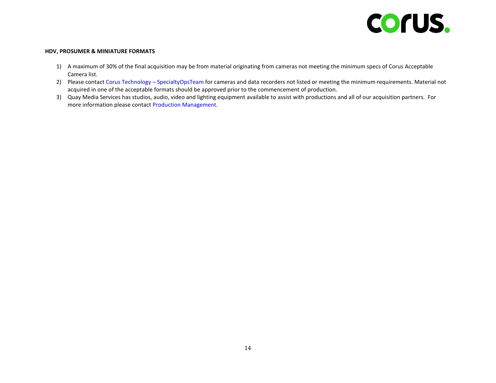

#### **HDV, PROSUMER & MINIATURE FORMATS**

- 1) A maximum of 30% of the final acquisition may be from material originating from cameras not meeting the minimum specs of Corus Acceptable Camera list.
- 2) Please contact [Corus Technology](mailto:CorusTechnology-SpecialtyOpsTeam@corusent.com?subject=Acceptable%20Camera%20List%20Question)  SpecialtyOpsTeam for cameras and data recorders not listed or meeting the minimum requirements. Material not acquired in one of the acceptable formats should be approved prior to the commencement of production.
- 3) Quay Media Services has studios, audio, video and lighting equipment available to assist with productions and all of our acquisition partners. For more information please contact [Production Management.](mailto:ProductionManagement@corusent.com?subject=Studios%20and%20Equipment)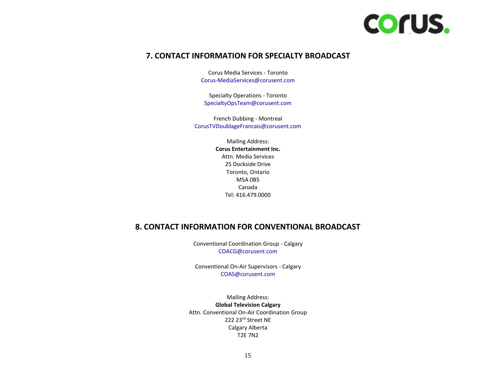

### <span id="page-14-0"></span>**7. CONTACT INFORMATION FOR SPECIALTY BROADCAST**

Corus Media Services - Toronto [Corus-MediaServices@corusent.com](mailto:Corus-MediaServices@corusent.com)

Specialty Operations - Toronto [SpecialtyOpsTeam@corusent.com](mailto:SpecialtyOpsTeam@corusent.com)

French Dubbing - Montreal [CorusTVDoublageFrancais@corusent.com](mailto:CorusTVDoublageFrancais@corusent.com)

> Mailing Address: **Corus Entertainment Inc.** Attn. Media Services 25 Dockside Drive Toronto, Ontario M5A 0B5 Canada Tel: 416.479.0000

### <span id="page-14-1"></span>**8. CONTACT INFORMATION FOR CONVENTIONAL BROADCAST**

Conventional Coordination Group - Calgary [COACG@corusent.com](mailto:COACG@corusent.com)

Conventional On-Air Supervisors - Calgary [COAS@corusent.com](mailto:COAS@corusent.com)

Mailing Address: **Global Television Calgary** Attn. Conventional On-Air Coordination Group 222 23rd Street NE Calgary Alberta T2E 7N2